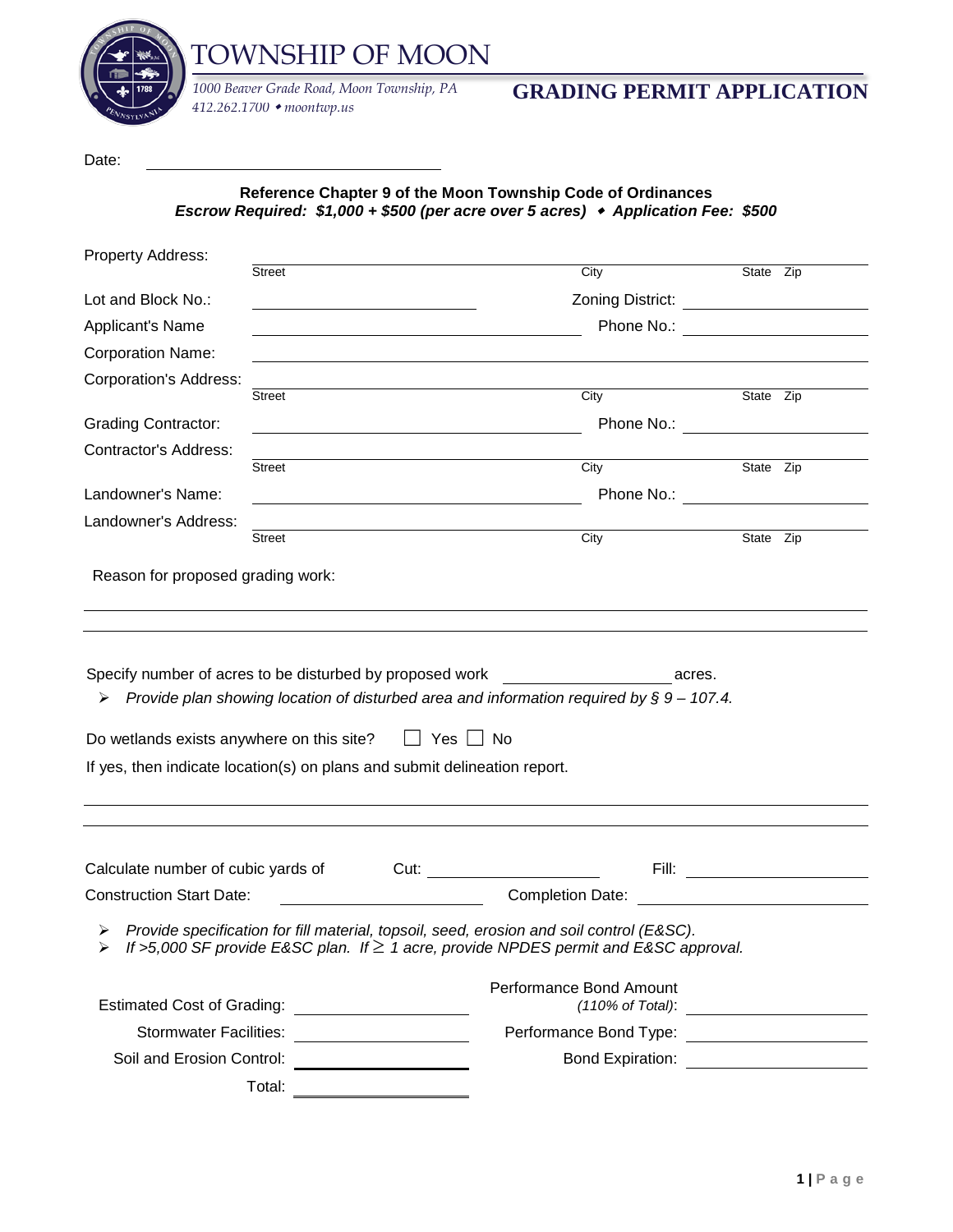

TOWNSHIP OF MOON

*412.262.1700 moontwp.us*

## *1000 Beaver Grade Road, Moon Township, PA* **GRADING PERMIT APPLICATION**

Date:

**Reference Chapter 9 of the Moon Township Code of Ordinances** *Escrow Required: \$1,000 + \$500 (per acre over 5 acres) Application Fee: \$500*

| Property Address:                                                                                                               |                                               |                                                                                                                                                                                                                                                                                                                                                         |           |  |
|---------------------------------------------------------------------------------------------------------------------------------|-----------------------------------------------|---------------------------------------------------------------------------------------------------------------------------------------------------------------------------------------------------------------------------------------------------------------------------------------------------------------------------------------------------------|-----------|--|
|                                                                                                                                 | <b>Street</b>                                 | City                                                                                                                                                                                                                                                                                                                                                    | State Zip |  |
| Lot and Block No.:                                                                                                              |                                               | Zoning District: _______________________                                                                                                                                                                                                                                                                                                                |           |  |
| Applicant's Name                                                                                                                |                                               | Phone No.: <u>_______________________</u>                                                                                                                                                                                                                                                                                                               |           |  |
| <b>Corporation Name:</b>                                                                                                        |                                               |                                                                                                                                                                                                                                                                                                                                                         |           |  |
| <b>Corporation's Address:</b>                                                                                                   |                                               |                                                                                                                                                                                                                                                                                                                                                         |           |  |
|                                                                                                                                 | Street                                        | City                                                                                                                                                                                                                                                                                                                                                    | State Zip |  |
| <b>Grading Contractor:</b>                                                                                                      |                                               | Phone No.: The contract of the contract of the contract of the contract of the contract of the contract of the contract of the contract of the contract of the contract of the contract of the contract of the contract of the<br><u> 1989 - Johann Barbara, martin amerikan basal dan berasal dalam basal dalam basal dalam basal dalam basal dala</u> |           |  |
| Contractor's Address:                                                                                                           | Street                                        | City                                                                                                                                                                                                                                                                                                                                                    | State Zip |  |
| Landowner's Name:                                                                                                               |                                               | Phone No.: <u>__________________</u>                                                                                                                                                                                                                                                                                                                    |           |  |
| Landowner's Address:                                                                                                            |                                               | <u> 1989 - Johann Barn, amerikansk politiker (d. 1989)</u>                                                                                                                                                                                                                                                                                              |           |  |
|                                                                                                                                 | Street                                        | City                                                                                                                                                                                                                                                                                                                                                    | State Zip |  |
| Specify number of acres to be disturbed by proposed work<br>➤<br>Do wetlands exists anywhere on this site? $\Box$ Yes $\Box$ No |                                               | acres.<br>Provide plan showing location of disturbed area and information required by $\S 9 - 107.4$ .<br>If yes, then indicate location(s) on plans and submit delineation report.                                                                                                                                                                     |           |  |
|                                                                                                                                 |                                               |                                                                                                                                                                                                                                                                                                                                                         |           |  |
| Calculate number of cubic yards of                                                                                              |                                               |                                                                                                                                                                                                                                                                                                                                                         |           |  |
| <b>Construction Start Date:</b>                                                                                                 |                                               | <u> 1990 - Johann Barbara, martin d</u>                                                                                                                                                                                                                                                                                                                 |           |  |
| ➤                                                                                                                               |                                               | Provide specification for fill material, topsoil, seed, erosion and soil control (E&SC).<br>If >5,000 SF provide E&SC plan. If $\geq$ 1 acre, provide NPDES permit and E&SC approval.                                                                                                                                                                   |           |  |
|                                                                                                                                 |                                               | Performance Bond Amount                                                                                                                                                                                                                                                                                                                                 |           |  |
|                                                                                                                                 | Stormwater Facilities: ______________________ | Performance Bond Type: _______________________                                                                                                                                                                                                                                                                                                          |           |  |
|                                                                                                                                 |                                               |                                                                                                                                                                                                                                                                                                                                                         |           |  |
|                                                                                                                                 |                                               |                                                                                                                                                                                                                                                                                                                                                         |           |  |
|                                                                                                                                 | Total:                                        |                                                                                                                                                                                                                                                                                                                                                         |           |  |